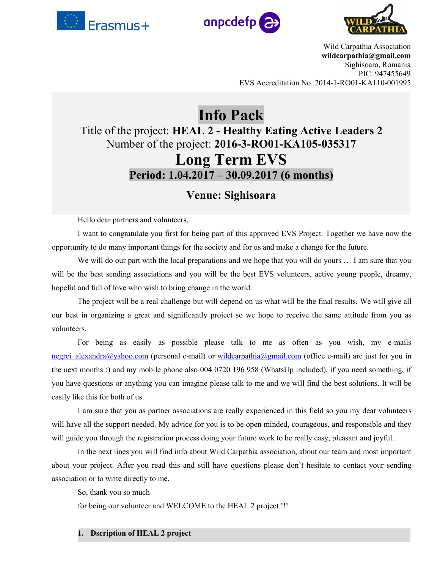





Wild Carpathia Association **wildcarpathia@gmail.com** Sighisoara, Romania PIC: 947455649 EVS Accreditation No. 2014-1-RO01-KA110-001995

# **Info Pack** Title of the project: **HEAL 2 - Healthy Eating Active Leaders 2** Number of the project: **2016-3-RO01-KA105-035317 Long Term EVS Period: 1.04.2017 – 30.09.2017 (6 months)**

# **Venue: Sighisoara**

Hello dear partners and volunteers,

I want to congratulate you first for being part of this approved EVS Project. Together we have now the opportunity to do many important things for the society and forus and make a change for the future.

We will do our part with the local preparations and we hope that you will do yours ... I am sure that you will be the best sending associations and you will be the best EVS volunteers, active young people, dreamy, hopeful and full of love who wish to bring change in the world.

The project will be a real challenge but will depend on us what will be the final results. We will give all our best in organizing a great and significantly project so we hope to receive the same attitude from you as volunteers.

For being as easily as possible please talk to me as often as you wish, my e-mails negrei alexandra@yahoo.com (personal e-mail) or [wildcarpathia@gmail.com](mailto:wildcarpathia@gmail.com) (office e-mail) are just for you in the next months :) and my mobile phone also 004 0720 196 958 (WhatsUp included), if you need something,if you have questions or anything you can imagine please talk to me and we will find the best solutions. It will be easily like this for both of us.

I am sure that you as partner associations are really experienced in this field so you my dear volunteers will have all the support needed. My advice for you is to be open minded, courageous, and responsible and they will guide you through the registration process doing your future work to be really easy, pleasant and joyful.

In the next lines you will find info about Wild Carpathia association, about our team and most important about your project. After you read this and still have questions please don't hesitate to contact your sending association or to write directly to me.

So, thank you so much

for being our volunteer and WELCOME to the HEAL 2 project !!!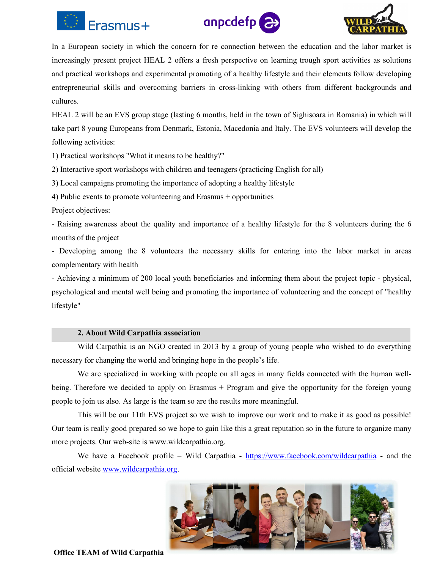





In a European society in which the concern for re connection between the education and the labor market is increasingly present project HEAL 2 offers a fresh perspective on learning trough sport activities as solutions and practical workshops and experimental promoting of a healthy lifestyle and their elements follow developing entrepreneurial skills and overcoming barriers in cross-linking with others from different backgrounds and cultures.

HEAL 2 will be an EVS group stage (lasting 6 months, held in the town of Sighisoara in Romania) in which will take part 8 young Europeans from Denmark, Estonia, Macedonia and Italy. The EVS volunteers will develop the following activities:

1) Practical workshops "What it means to be healthy?"

2) Interactive sport workshops with children and teenagers (practicing English for all)

3) Local campaigns promoting the importance of adopting a healthy lifestyle

4) Public events to promote volunteering and Erasmus + opportunities

Project objectives:

- Raising awareness about the quality and importance of a healthy lifestyle for the 8 volunteers during the 6 months of the project

- Developing among the 8 volunteers the necessary skills for entering into the labor market in areas complementary with health

- Achieving a minimum of 200 local youth beneficiaries and informing them about the project topic - physical, psychological and mental well being and promoting the importance of volunteering and the concept of "healthy lifestyle"

## **2. About Wild Carpathia association**

Wild Carpathia is an NGO created in 2013 by a group of young people who wished to do everything necessary for changing the world and bringing hope in the people's life.

We are specialized in working with people on all ages in many fields connected with the human well being. Therefore we decided to apply on Erasmus + Program and give the opportunity for the foreign young people to join us also. As large is the team so are the results more meaningful.

This will be our 11th EVS project so we wish to improve our work and to make it as good as possible! Our team is really good prepared so we hope to gain like this a great reputation so in the future to organize many more projects. Our web-site is www.wildcarpathia.org.

We have a Facebook profile – Wild Carpathia - <https://www.facebook.com/wildcarpathia> - and the official website [www.wildcarpathia.org.](http://www.wildcarpathia.org)

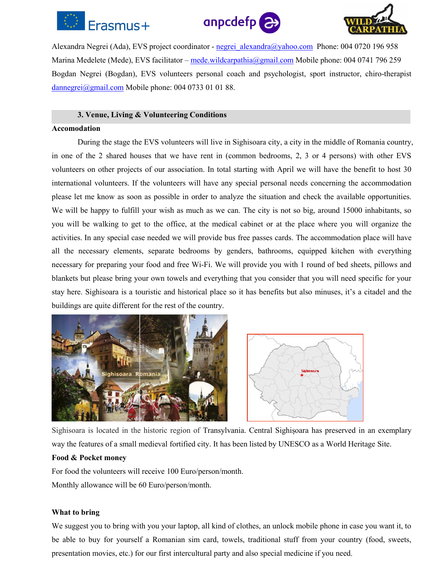





Alexandra Negrei (Ada), EVS project coordinator - [negrei\\_alexandra@yahoo.com](mailto:negrei_alexandra@yahoo.com) Phone: 004 0720 196 958 Marina Medelete (Mede), EVS facilitator – [mede.wildcarpathia@gmail.com](mailto:mede.wildcarpathia@gmail.com) Mobile phone: 004 0741 796 259 Bogdan Negrei (Bogdan), EVS volunteers personal coach and psychologist, sport instructor, chiro-therapist [dannegrei@gmail.com](mailto:dannegrei@gmail.com) Mobile phone: 004 0733 01 01 88.

#### **3. Venue, Living & Volunteering Conditions**

#### **Accomodation**

During the stage the EVS volunteers will live in Sighisoara city, a city in the middle of Romania country, in one of the 2 shared houses that we have rent in (common bedrooms, 2, 3 or 4 persons) with other EVS volunteers on other projects of our association. In total starting with April we will have the benefit to host 30 international volunteers. If the volunteers will have any special personal needs concerning the accommodation please let me know as soon as possible in order to analyze the situation and check the available opportunities. We will be happy to fulfill your wish as much as we can. The city is not so big, around 15000 inhabitants, so you will be walking to get to the office, at the medical cabinet or at the place where you will organize the activities. In any special case needed we will provide bus free passes cards. The accommodation place will have all the necessary elements, separate bedrooms by genders, bathrooms, equipped kitchen with everything necessary for preparing your food and free Wi-Fi.We will provide you with 1 round of bed sheets, pillows and blankets but please bring your own towels and everything that you consider that you will need specific for your stay here. Sighisoara is a touristic and historical place so it has benefits but also minuses, it's a citadel and the buildings are quite different for the rest of the country.





Sighisoara islocated in the historic region of [Transylvania.](https://en.wikipedia.org/wiki/Transylvania) Central [Sighișoara](https://en.wikipedia.org/wiki/Historic_Centre_of_Sighi%C8%99oara) has preserved in an exemplary way the features of a small [medieval](https://en.wikipedia.org/wiki/Middle_Ages) fortified city. It has been listed by [UNESCO](https://en.wikipedia.org/wiki/UNESCO) as a World [Heritage](https://en.wikipedia.org/wiki/World_Heritage_Site) Site.

#### **Food & Pocket money**

For food the volunteers will receive 100 Euro/person/month. Monthly allowance will be 60 Euro/person/month.

#### **What to bring**

We suggest you to bring with you your laptop, all kind of clothes, an unlock mobile phone in case you want it, to be able to buy for yourself a Romanian sim card, towels, traditional stuff from your country (food, sweets, presentation movies, etc.) for our first intercultural party and also special medicine if you need.